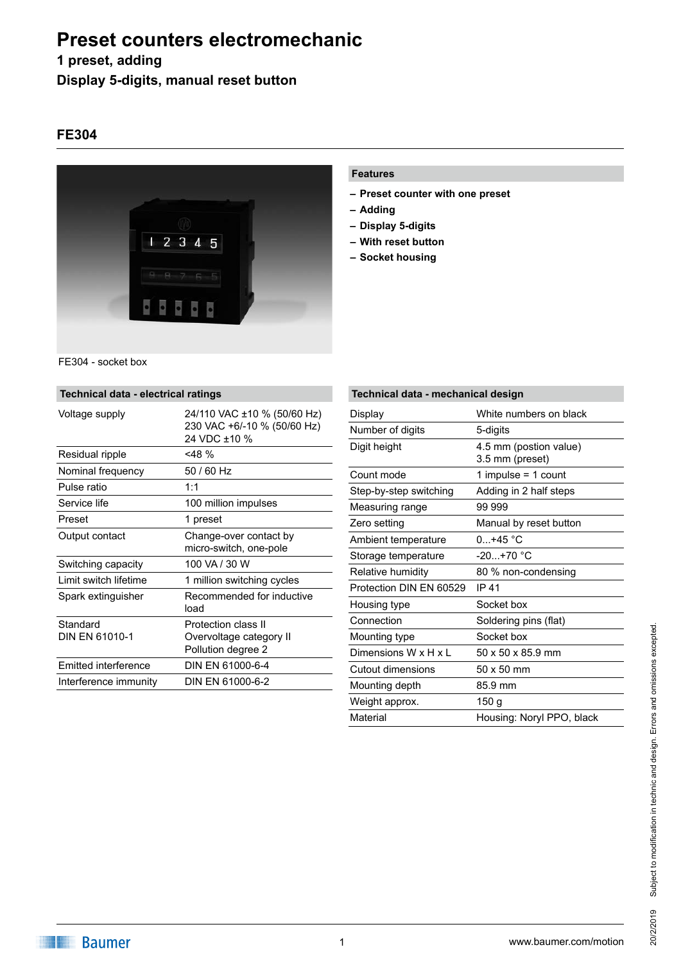## **1 preset, adding**

**Display 5-digits, manual reset button**

### **FE304**



#### **Features**

- **– Preset counter with one preset**
- **– Adding**
- **– Display 5-digits**
- **– With reset button**
- **– Socket housing**

| FE304 - socket box |  |
|--------------------|--|
|                    |  |

| Technical data - electrical ratings |                                                                            |  |
|-------------------------------------|----------------------------------------------------------------------------|--|
| Voltage supply                      | 24/110 VAC ±10 % (50/60 Hz)<br>230 VAC +6/-10 % (50/60 Hz)<br>24 VDC ±10 % |  |
| Residual ripple                     | $<$ 48 %                                                                   |  |
| Nominal frequency                   | $50/60$ Hz                                                                 |  |
| Pulse ratio                         | 1:1                                                                        |  |
| Service life                        | 100 million impulses                                                       |  |
| Preset                              | 1 preset                                                                   |  |
| Output contact                      | Change-over contact by<br>micro-switch, one-pole                           |  |
| Switching capacity                  | 100 VA / 30 W                                                              |  |
| I imit switch lifetime              | 1 million switching cycles                                                 |  |
| Spark extinguisher                  | Recommended for inductive<br>load                                          |  |
| Standard<br>DIN FN 61010-1          | Protection class II<br>Overvoltage category II<br>Pollution degree 2       |  |
| Emitted interference                | DIN FN 61000-6-4                                                           |  |
| Interference immunity               | DIN EN 61000-6-2                                                           |  |
|                                     |                                                                            |  |

| Technical data - mechanical design |                                           |  |
|------------------------------------|-------------------------------------------|--|
| Display                            | White numbers on black                    |  |
| Number of digits                   | 5-digits                                  |  |
| Digit height                       | 4.5 mm (postion value)<br>3.5 mm (preset) |  |
| Count mode                         | 1 impulse = $1$ count                     |  |
| Step-by-step switching             | Adding in 2 half steps                    |  |
| Measuring range                    | 99 999                                    |  |
| Zero setting                       | Manual by reset button                    |  |
| Ambient temperature                | $0.1 + 45$ °C                             |  |
| Storage temperature                | $-20. +70$ °C                             |  |
| Relative humidity                  | 80 % non-condensing                       |  |
| Protection DIN EN 60529            | IP 41                                     |  |
| Housing type                       | Socket box                                |  |
| Connection                         | Soldering pins (flat)                     |  |
| Mounting type                      | Socket box                                |  |
| Dimensions $W \times H \times I$   | 50 x 50 x 85.9 mm                         |  |
| Cutout dimensions                  | 50 x 50 mm                                |  |
| Mounting depth                     | 85.9 mm                                   |  |
| Weight approx.                     | 150 g                                     |  |
| Material                           | Housing: Noryl PPO, black                 |  |

# 20/2/2019 Subject to modification in technic and design. Errors and omissions excepted. Subject to modification in technic and design. Errors and omissions excepted. 20/2/2019

**Baumer**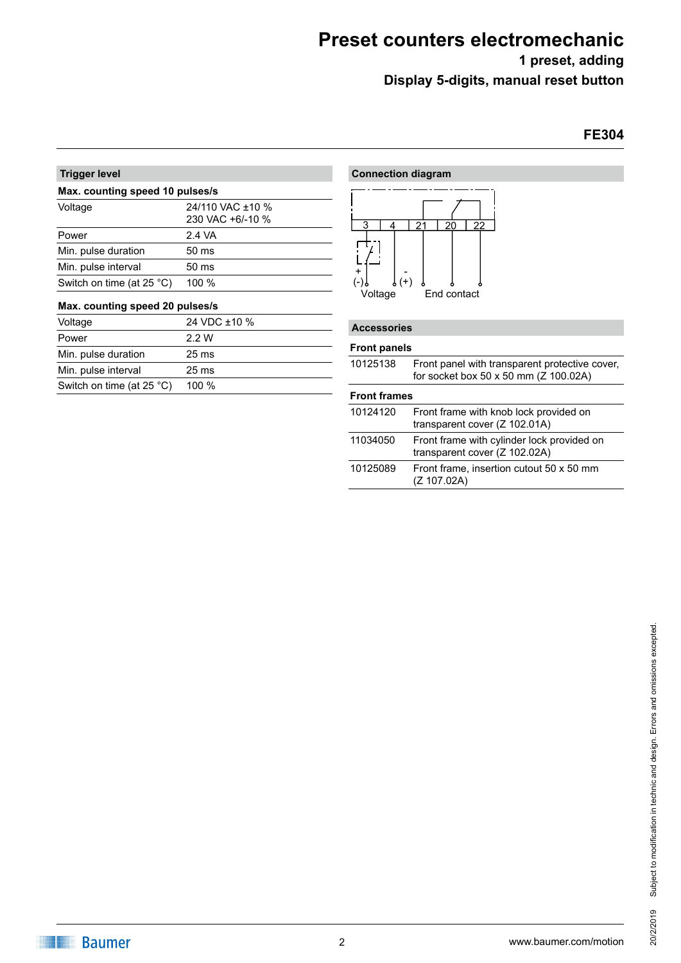**1 preset, adding**

**Display 5-digits, manual reset button**

## **FE304**

| <b>Trigger level</b><br>Max. counting speed 10 pulses/s |                 |  |
|---------------------------------------------------------|-----------------|--|
|                                                         |                 |  |
| Power                                                   | 2.4 VA          |  |
| Min. pulse duration                                     | $50 \text{ ms}$ |  |
| Min. pulse interval                                     | $50 \text{ ms}$ |  |
| Switch on time (at $25^{\circ}$ C)                      | 100 %           |  |

#### **Max. counting speed 20 pulses/s**

| Voltage                            | 24 VDC ±10 %    |
|------------------------------------|-----------------|
| Power                              | 2.2 W           |
| Min. pulse duration                | $25 \text{ ms}$ |
| Min. pulse interval                | $25 \text{ ms}$ |
| Switch on time (at $25^{\circ}$ C) | $100 \%$        |

| <b>Connection diagram</b>                                                       |  |
|---------------------------------------------------------------------------------|--|
| 22<br>3<br>21<br>20<br>4<br>÷<br>$\int (+)$<br>۰<br>٥<br>Voltage<br>End contact |  |
| <b>Accessories</b>                                                              |  |

#### **Front panels**

 $\overline{\phantom{0}}$ 

|                     | <b>Front panels</b>                                                                     |  |  |
|---------------------|-----------------------------------------------------------------------------------------|--|--|
| 10125138            | Front panel with transparent protective cover,<br>for socket box 50 x 50 mm (Z 100.02A) |  |  |
| <b>Front frames</b> |                                                                                         |  |  |
| 10124120            | Front frame with knob lock provided on<br>transparent cover (Z 102.01A)                 |  |  |
| 11034050            | Front frame with cylinder lock provided on<br>transparent cover (Z 102.02A)             |  |  |
| 10125089            | Front frame, insertion cutout 50 x 50 mm<br>(Z 107.02A)                                 |  |  |
|                     |                                                                                         |  |  |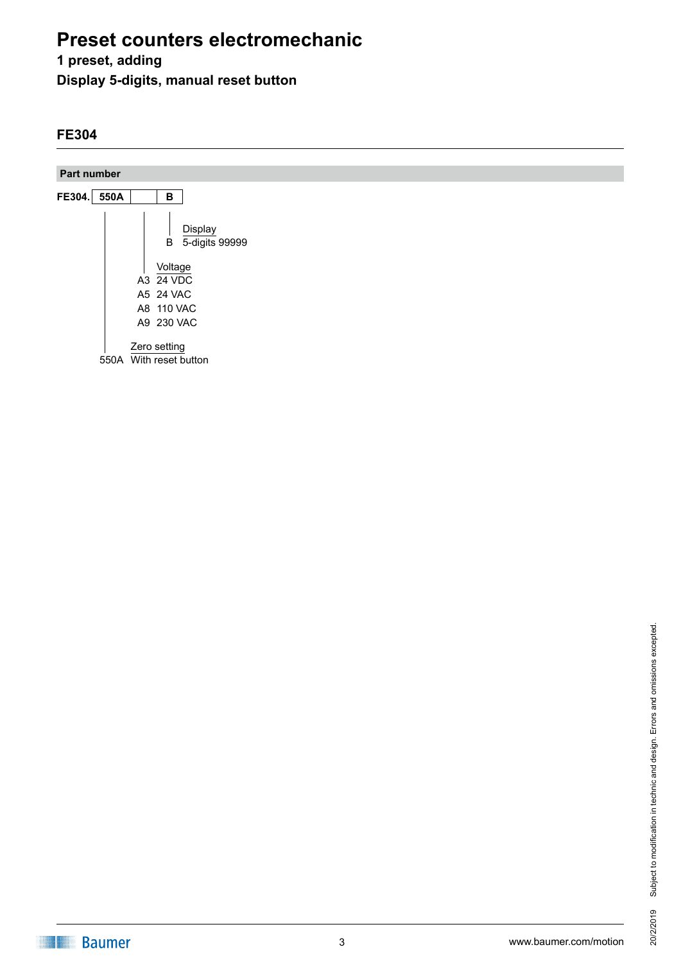## **1 preset, adding**

**Display 5-digits, manual reset button**

## **FE304**